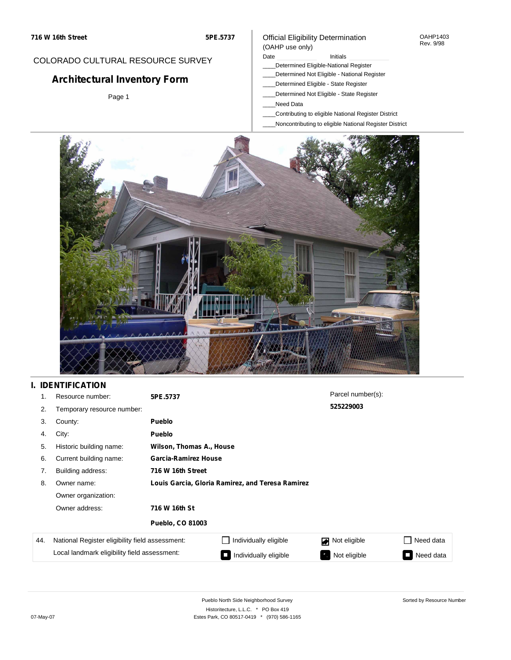### COLORADO CULTURAL RESOURCE SURVEY

# **Architectural Inventory Form**

Page 1

#### Official Eligibility Determination (OAHP use only)

#### Date **Initials** Initials

- \_\_\_\_Determined Eligible-National Register
- \_\_\_\_Determined Not Eligible National Register
- \_\_\_\_Determined Eligible State Register
- \_\_\_\_Determined Not Eligible State Register
- \_\_\_\_Need Data
- \_\_\_\_Contributing to eligible National Register District
- \_\_\_\_Noncontributing to eligible National Register District



## **I. IDENTIFICATION**

| 1.  | Resource number:                                       | 5PE.5737                    |                                                  | Parcel number(s): |                                       |  |  |  |
|-----|--------------------------------------------------------|-----------------------------|--------------------------------------------------|-------------------|---------------------------------------|--|--|--|
| 2.  | Temporary resource number:                             |                             |                                                  | 525229003         |                                       |  |  |  |
| 3.  | County:                                                | <b>Pueblo</b>               |                                                  |                   |                                       |  |  |  |
| 4.  | City:                                                  | <b>Pueblo</b>               |                                                  |                   |                                       |  |  |  |
| 5.  | Historic building name:                                |                             | Wilson, Thomas A., House                         |                   |                                       |  |  |  |
| 6.  | Current building name:                                 | <b>Garcia-Ramirez House</b> |                                                  |                   |                                       |  |  |  |
| 7.  | Building address:                                      | 716 W 16th Street           |                                                  |                   |                                       |  |  |  |
| 8.  | Owner name:                                            |                             | Louis Garcia, Gloria Ramirez, and Teresa Ramirez |                   |                                       |  |  |  |
|     | Owner organization:<br>Owner address:<br>716 W 16th St |                             |                                                  |                   |                                       |  |  |  |
|     |                                                        |                             |                                                  |                   |                                       |  |  |  |
|     |                                                        | <b>Pueblo, CO 81003</b>     |                                                  |                   |                                       |  |  |  |
| 44. | National Register eligibility field assessment:        |                             | Individually eligible                            | Not eligible      | Need data                             |  |  |  |
|     | Local landmark eligibility field assessment:           |                             | Individually eligible                            | Not eligible      | Need data<br>$\overline{\phantom{a}}$ |  |  |  |

OAHP1403 Rev. 9/98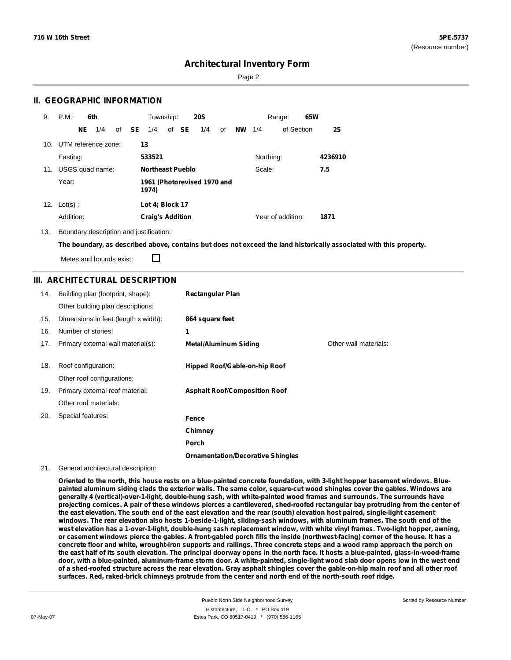Page 2

### **II. GEOGRAPHIC INFORMATION**

| 9.  | P.M.                    |    | 6th             |              | Township:               |       | <b>20S</b>                  |    |           |           | Range:            | 65W |         |
|-----|-------------------------|----|-----------------|--------------|-------------------------|-------|-----------------------------|----|-----------|-----------|-------------------|-----|---------|
|     |                         | NE | 1/4             | of <b>SE</b> | 1/4                     | of SE | 1/4                         | of | <b>NW</b> | 1/4       | of Section        |     | 25      |
|     | 10. UTM reference zone: |    |                 |              | 13                      |       |                             |    |           |           |                   |     |         |
|     | Easting:                |    |                 |              | 533521                  |       |                             |    |           | Northing: |                   |     | 4236910 |
| 11. |                         |    | USGS quad name: |              | <b>Northeast Pueblo</b> |       |                             |    |           | Scale:    |                   |     | 7.5     |
|     | Year:                   |    |                 |              | 1974)                   |       | 1961 (Photorevised 1970 and |    |           |           |                   |     |         |
| 12. | $Lot(s)$ :              |    |                 |              | Lot 4; Block 17         |       |                             |    |           |           |                   |     |         |
|     | Addition:               |    |                 |              | <b>Craig's Addition</b> |       |                             |    |           |           | Year of addition: |     | 1871    |

13. Boundary description and justification:

The boundary, as described above, contains but does not exceed the land historically associated with this property.

Metes and bounds exist:

П

### **III. ARCHITECTURAL DESCRIPTION**

| 14. | Building plan (footprint, shape):    | <b>Rectangular Plan</b>                  |                       |
|-----|--------------------------------------|------------------------------------------|-----------------------|
|     | Other building plan descriptions:    |                                          |                       |
| 15. | Dimensions in feet (length x width): | 864 square feet                          |                       |
| 16. | Number of stories:                   | 1                                        |                       |
| 17. | Primary external wall material(s):   | <b>Metal/Aluminum Siding</b>             | Other wall materials: |
|     |                                      |                                          |                       |
| 18. | Roof configuration:                  | Hipped Roof/Gable-on-hip Roof            |                       |
|     | Other roof configurations:           |                                          |                       |
| 19. | Primary external roof material:      | <b>Asphalt Roof/Composition Roof</b>     |                       |
|     | Other roof materials:                |                                          |                       |
| 20. | Special features:                    | Fence                                    |                       |
|     |                                      | Chimney                                  |                       |
|     |                                      | Porch                                    |                       |
|     |                                      | <b>Ornamentation/Decorative Shingles</b> |                       |

#### 21. General architectural description:

Oriented to the north, this house rests on a blue-painted concrete foundation, with 3-light hopper basement windows. Bluepainted aluminum siding clads the exterior walls. The same color, square-cut wood shingles cover the gables. Windows are **generally 4 (vertical)-over-1-light, double-hung sash, with white-painted wood frames and surrounds. The surrounds have** projecting cornices. A pair of these windows pierces a cantilevered, shed-roofed rectangular bay protruding from the center of the east elevation. The south end of the east elevation and the rear (south) elevation host paired, single-light casement windows. The rear elevation also hosts 1-beside-1-light, sliding-sash windows, with aluminum frames. The south end of the west elevation has a 1-over-1-light, double-hung sash replacement window, with white vinyl frames. Two-light hopper, awning, or casement windows pierce the gables. A front-gabled porch fills the inside (northwest-facing) corner of the house. It has a concrete floor and white, wrought-iron supports and railings. Three concrete steps and a wood ramp approach the porch on the east half of its south elevation. The principal doorway opens in the north face. It hosts a blue-painted, glass-in-wood-frame door, with a blue-painted, aluminum-frame storm door. A white-painted, single-light wood slab door opens low in the west end of a shed-roofed structure across the rear elevation. Gray asphalt shingles cover the gable-on-hip main roof and all other roof **surfaces. Red, raked-brick chimneys protrude from the center and north end of the north-south roof ridge.**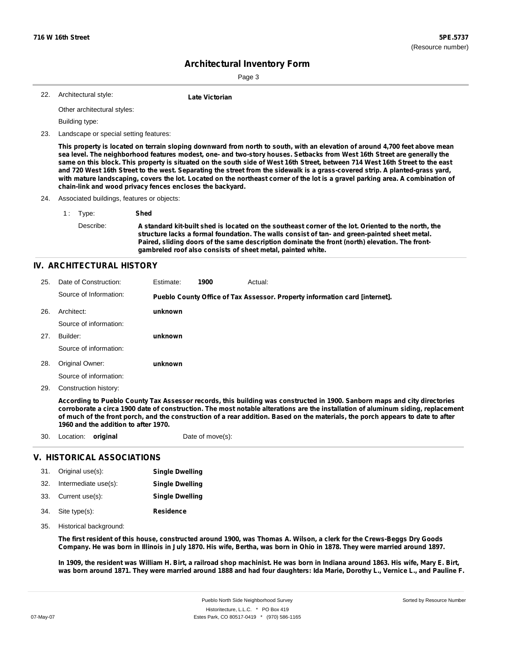**Late Victorian** 

Page 3

| 22. Architectural style: |  |
|--------------------------|--|
|                          |  |

Other architectural styles:

Building type:

23. Landscape or special setting features:

This property is located on terrain sloping downward from north to south, with an elevation of around 4,700 feet above mean sea level. The neighborhood features modest, one- and two-story houses. Setbacks from West 16th Street are generally the same on this block. This property is situated on the south side of West 16th Street, between 714 West 16th Street to the east and 720 West 16th Street to the west. Separating the street from the sidewalk is a grass-covered strip. A planted-grass yard, with mature landscaping, covers the lot. Located on the northeast corner of the lot is a gravel parking area. A combination of **chain-link and wood privacy fences encloses the backyard.**

24. Associated buildings, features or objects:

| 1: Type:  | Shed                                                                                                                                                                                                                                                                                                                                                                  |  |  |  |  |  |
|-----------|-----------------------------------------------------------------------------------------------------------------------------------------------------------------------------------------------------------------------------------------------------------------------------------------------------------------------------------------------------------------------|--|--|--|--|--|
| Describe: | A standard kit-built shed is located on the southeast corner of the lot. Oriented to the north, the<br>structure lacks a formal foundation. The walls consist of tan- and green-painted sheet metal.<br>Paired, sliding doors of the same description dominate the front (north) elevation. The front-<br>gambreled roof also consists of sheet metal, painted white. |  |  |  |  |  |

### **IV. ARCHITECTURAL HISTORY**

| 25. | Date of Construction:  | Estimate: | 1900 | Actual:                                                                     |
|-----|------------------------|-----------|------|-----------------------------------------------------------------------------|
|     | Source of Information: |           |      | Pueblo County Office of Tax Assessor. Property information card [internet]. |
| 26. | Architect:             | unknown   |      |                                                                             |
|     | Source of information: |           |      |                                                                             |
| 27. | Builder:               | unknown   |      |                                                                             |
|     | Source of information: |           |      |                                                                             |
| 28. | Original Owner:        | unknown   |      |                                                                             |
|     | Source of information: |           |      |                                                                             |
| 29. | Construction history:  |           |      |                                                                             |
|     |                        |           |      |                                                                             |

According to Pueblo County Tax Assessor records, this building was constructed in 1900. Sanborn maps and city directories corroborate a circa 1900 date of construction. The most notable alterations are the installation of aluminum siding, replacement of much of the front porch, and the construction of a rear addition. Based on the materials, the porch appears to date to after **1960 and the addition to after 1970.**

30. Location: **original** Date of move(s):

### **V. HISTORICAL ASSOCIATIONS**

| 31. Original use(s):     | <b>Single Dwelling</b> |
|--------------------------|------------------------|
| 32. Intermediate use(s): | <b>Single Dwelling</b> |
| 33. Current use(s):      | <b>Single Dwelling</b> |
| 34. Site type(s):        | <b>Residence</b>       |

35. Historical background:

The first resident of this house, constructed around 1900, was Thomas A. Wilson, a clerk for the Crews-Beggs Dry Goods Company. He was born in Illinois in July 1870. His wife, Bertha, was born in Ohio in 1878. They were married around 1897.

In 1909, the resident was William H. Birt, a railroad shop machinist. He was born in Indiana around 1863. His wife, Mary E. Birt, was born around 1871. They were married around 1888 and had four daughters: Ida Marie, Dorothy L., Vernice L., and Pauline F.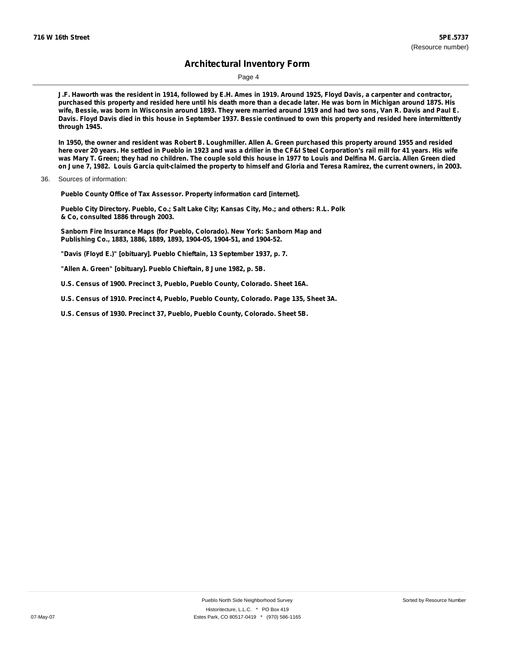Page 4

J.F. Haworth was the resident in 1914, followed by E.H. Ames in 1919. Around 1925, Floyd Davis, a carpenter and contractor, purchased this property and resided here until his death more than a decade later. He was born in Michigan around 1875. His wife, Bessie, was born in Wisconsin around 1893. They were married around 1919 and had two sons, Van R. Davis and Paul E. Davis. Floyd Davis died in this house in September 1937. Bessie continued to own this property and resided here intermittently **through 1945.**

In 1950, the owner and resident was Robert B. Loughmiller. Allen A. Green purchased this property around 1955 and resided here over 20 years. He settled in Pueblo in 1923 and was a driller in the CF&I Steel Corporation's rail mill for 41 years. His wife was Mary T. Green; they had no children. The couple sold this house in 1977 to Louis and Delfina M. Garcia. Allen Green died on June 7, 1982. Louis Garcia quit-claimed the property to himself and Gloria and Teresa Ramirez, the current owners, in 2003.

**Pueblo County Office of Tax Assessor. Property information card [internet].**

**Pueblo City Directory. Pueblo, Co.; Salt Lake City; Kansas City, Mo.; and others: R.L. Polk & Co, consulted 1886 through 2003.**

**Sanborn Fire Insurance Maps (for Pueblo, Colorado). New York: Sanborn Map and Publishing Co., 1883, 1886, 1889, 1893, 1904-05, 1904-51, and 1904-52.**

**"Davis (Floyd E.)" [obituary]. Pueblo Chieftain, 13 September 1937, p. 7.**

**"Allen A. Green" [obituary]. Pueblo Chieftain, 8 June 1982, p. 5B.**

**U.S. Census of 1900. Precinct 3, Pueblo, Pueblo County, Colorado. Sheet 16A.**

**U.S. Census of 1910. Precinct 4, Pueblo, Pueblo County, Colorado. Page 135, Sheet 3A.**

**U.S. Census of 1930. Precinct 37, Pueblo, Pueblo County, Colorado. Sheet 5B.**

<sup>36.</sup> Sources of information: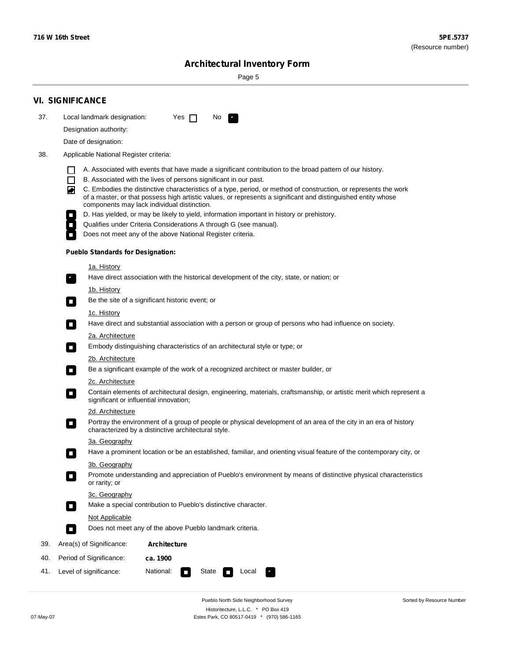۰

Sorted by Resource Number

# **Architectural Inventory Form**

Page 5

|     | <b>VI. SIGNIFICANCE</b>                                                                                                                                                                                                                                                                                                                                                                                                                                                                                                                                                                                                                                                                                               |  |  |  |  |  |
|-----|-----------------------------------------------------------------------------------------------------------------------------------------------------------------------------------------------------------------------------------------------------------------------------------------------------------------------------------------------------------------------------------------------------------------------------------------------------------------------------------------------------------------------------------------------------------------------------------------------------------------------------------------------------------------------------------------------------------------------|--|--|--|--|--|
| 37. | Local landmark designation:<br>Yes $\Box$<br>No.                                                                                                                                                                                                                                                                                                                                                                                                                                                                                                                                                                                                                                                                      |  |  |  |  |  |
|     | Designation authority:                                                                                                                                                                                                                                                                                                                                                                                                                                                                                                                                                                                                                                                                                                |  |  |  |  |  |
|     | Date of designation:                                                                                                                                                                                                                                                                                                                                                                                                                                                                                                                                                                                                                                                                                                  |  |  |  |  |  |
| 38. | Applicable National Register criteria:                                                                                                                                                                                                                                                                                                                                                                                                                                                                                                                                                                                                                                                                                |  |  |  |  |  |
|     | A. Associated with events that have made a significant contribution to the broad pattern of our history.<br>H<br>B. Associated with the lives of persons significant in our past.<br>$\Box$<br>C. Embodies the distinctive characteristics of a type, period, or method of construction, or represents the work<br>◙<br>of a master, or that possess high artistic values, or represents a significant and distinguished entity whose<br>components may lack individual distinction.<br>D. Has yielded, or may be likely to yield, information important in history or prehistory.<br>Qualifies under Criteria Considerations A through G (see manual).<br>Does not meet any of the above National Register criteria. |  |  |  |  |  |
|     | <b>Pueblo Standards for Designation:</b>                                                                                                                                                                                                                                                                                                                                                                                                                                                                                                                                                                                                                                                                              |  |  |  |  |  |
|     |                                                                                                                                                                                                                                                                                                                                                                                                                                                                                                                                                                                                                                                                                                                       |  |  |  |  |  |
|     | <u>1a. History</u><br>Have direct association with the historical development of the city, state, or nation; or<br>$\overline{\phantom{a}}$ .                                                                                                                                                                                                                                                                                                                                                                                                                                                                                                                                                                         |  |  |  |  |  |
|     | <u>1b. History</u><br>Be the site of a significant historic event; or<br>$\mathcal{L}_{\mathcal{A}}$                                                                                                                                                                                                                                                                                                                                                                                                                                                                                                                                                                                                                  |  |  |  |  |  |
|     | 1c. History<br>Have direct and substantial association with a person or group of persons who had influence on society.<br>$\Box$                                                                                                                                                                                                                                                                                                                                                                                                                                                                                                                                                                                      |  |  |  |  |  |
|     | 2a. Architecture                                                                                                                                                                                                                                                                                                                                                                                                                                                                                                                                                                                                                                                                                                      |  |  |  |  |  |
|     | Embody distinguishing characteristics of an architectural style or type; or<br>$\mathcal{L}_{\mathcal{A}}$                                                                                                                                                                                                                                                                                                                                                                                                                                                                                                                                                                                                            |  |  |  |  |  |
|     | 2b. Architecture                                                                                                                                                                                                                                                                                                                                                                                                                                                                                                                                                                                                                                                                                                      |  |  |  |  |  |
|     | Be a significant example of the work of a recognized architect or master builder, or<br>$\mathcal{L}_{\mathcal{A}}$                                                                                                                                                                                                                                                                                                                                                                                                                                                                                                                                                                                                   |  |  |  |  |  |
|     | 2c. Architecture<br>Contain elements of architectural design, engineering, materials, craftsmanship, or artistic merit which represent a<br>$\mathcal{L}_{\rm{max}}$<br>significant or influential innovation;                                                                                                                                                                                                                                                                                                                                                                                                                                                                                                        |  |  |  |  |  |
|     | 2d. Architecture                                                                                                                                                                                                                                                                                                                                                                                                                                                                                                                                                                                                                                                                                                      |  |  |  |  |  |
|     | Portray the environment of a group of people or physical development of an area of the city in an era of history<br>$\mathcal{L}_{\mathcal{A}}$<br>characterized by a distinctive architectural style.                                                                                                                                                                                                                                                                                                                                                                                                                                                                                                                |  |  |  |  |  |
|     | 3a. Geography                                                                                                                                                                                                                                                                                                                                                                                                                                                                                                                                                                                                                                                                                                         |  |  |  |  |  |
|     | Have a prominent location or be an established, familiar, and orienting visual feature of the contemporary city, or<br>П                                                                                                                                                                                                                                                                                                                                                                                                                                                                                                                                                                                              |  |  |  |  |  |
|     | 3b. Geography                                                                                                                                                                                                                                                                                                                                                                                                                                                                                                                                                                                                                                                                                                         |  |  |  |  |  |
|     | Promote understanding and appreciation of Pueblo's environment by means of distinctive physical characteristics<br>п<br>or rarity; or                                                                                                                                                                                                                                                                                                                                                                                                                                                                                                                                                                                 |  |  |  |  |  |
|     | 3c. Geography<br>Make a special contribution to Pueblo's distinctive character.<br>$\mathcal{L}_{\mathcal{A}}$                                                                                                                                                                                                                                                                                                                                                                                                                                                                                                                                                                                                        |  |  |  |  |  |
|     | Not Applicable                                                                                                                                                                                                                                                                                                                                                                                                                                                                                                                                                                                                                                                                                                        |  |  |  |  |  |
|     | Does not meet any of the above Pueblo landmark criteria.<br>$\sim$                                                                                                                                                                                                                                                                                                                                                                                                                                                                                                                                                                                                                                                    |  |  |  |  |  |
| 39. | Area(s) of Significance:<br><b>Architecture</b>                                                                                                                                                                                                                                                                                                                                                                                                                                                                                                                                                                                                                                                                       |  |  |  |  |  |
| 40. | Period of Significance:<br>ca. 1900                                                                                                                                                                                                                                                                                                                                                                                                                                                                                                                                                                                                                                                                                   |  |  |  |  |  |
| 41. | National:<br>Level of significance:<br>State<br>Local<br>$\mathbf{r}_i$<br>$\mathcal{L}_{\mathcal{A}}$                                                                                                                                                                                                                                                                                                                                                                                                                                                                                                                                                                                                                |  |  |  |  |  |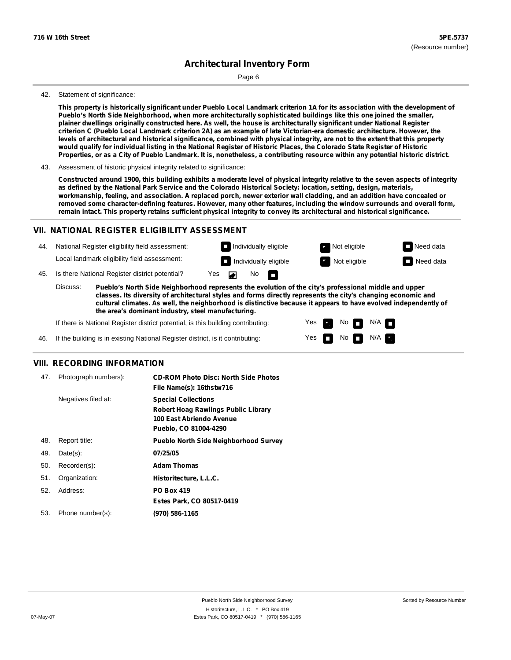Page 6

#### 42. Statement of significance:

This property is historically significant under Pueblo Local Landmark criterion 1A for its association with the development of **Pueblo's North Side Neighborhood, when more architecturally sophisticated buildings like this one joined the smaller,** plainer dwellings originally constructed here. As well, the house is architecturally significant under National Register criterion C (Pueblo Local Landmark criterion 2A) as an example of late Victorian-era domestic architecture. However, the levels of architectural and historical significance, combined with physical integrity, are not to the extent that this property would qualify for individual listing in the National Register of Historic Places, the Colorado State Register of Historic Properties, or as a City of Pueblo Landmark. It is, nonetheless, a contributing resource within any potential historic district.

Constructed around 1900, this building exhibits a moderate level of physical integrity relative to the seven aspects of integrity as defined by the National Park Service and the Colorado Historical Society: location, setting, design, materials, workmanship, feeling, and association. A replaced porch, newer exterior wall cladding, and an addition have concealed or removed some character-defining features. However, many other features, including the window surrounds and overall form, remain intact. This property retains sufficient physical integrity to convey its architectural and historical significance.

#### **VII. NATIONAL REGISTER ELIGIBILITY ASSESSMENT**

44. National Register eligibility field assessment: Local landmark eligibility field assessment:

**Individually eligible Not eligible Not eligible Need data** No<sub>D</sub>  $\blacksquare$ 

No

 $No$  N/A

 $N/A$   $\Box$ 

Yes Yes

**Individually eligible Not eligible** Not eligible **Need data** 

45. Is there National Register district potential? Yes

**Pueblo's North Side Neighborhood represents the evolution of the city's professional middle and upper classes. Its diversity of architectural styles and forms directly represents the city's changing economic and cultural climates. As well, the neighborhood is distinctive because it appears to have evolved independently of the area's dominant industry, steel manufacturing.** Discuss:

If there is National Register district potential, is this building contributing:



#### **VIII. RECORDING INFORMATION**

| 47. | Photograph numbers): | <b>CD-ROM Photo Disc: North Side Photos</b><br>File Name(s): 16thstw716                                                       |
|-----|----------------------|-------------------------------------------------------------------------------------------------------------------------------|
|     | Negatives filed at:  | <b>Special Collections</b><br><b>Robert Hoag Rawlings Public Library</b><br>100 East Abriendo Avenue<br>Pueblo, CO 81004-4290 |
| 48. | Report title:        | <b>Pueblo North Side Neighborhood Survey</b>                                                                                  |
| 49. | $Date(s)$ :          | 07/25/05                                                                                                                      |
| 50. | Recorder(s):         | <b>Adam Thomas</b>                                                                                                            |
| 51. | Organization:        | Historitecture, L.L.C.                                                                                                        |
| 52. | Address:             | <b>PO Box 419</b>                                                                                                             |
|     |                      | Estes Park, CO 80517-0419                                                                                                     |
| 53. | Phone number(s):     | (970) 586-1165                                                                                                                |

<sup>43.</sup> Assessment of historic physical integrity related to significance: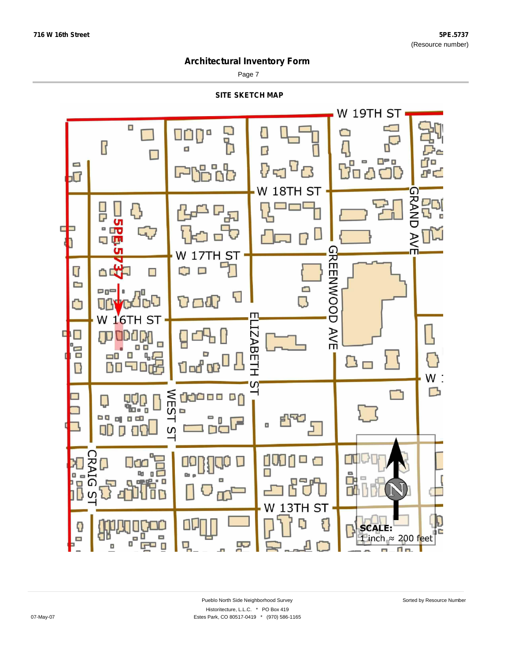Page 7